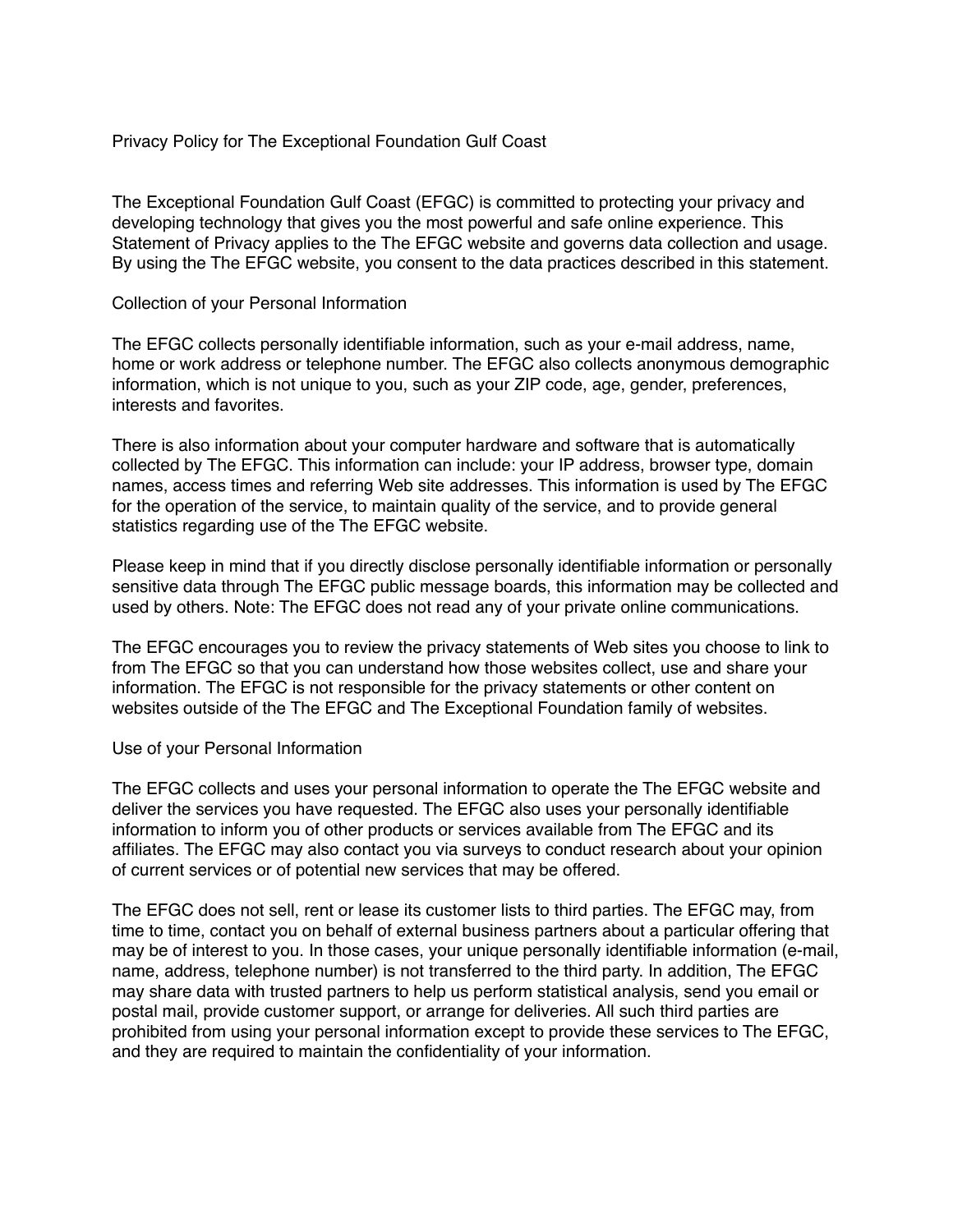## Privacy Policy for The Exceptional Foundation Gulf Coast

The Exceptional Foundation Gulf Coast (EFGC) is committed to protecting your privacy and developing technology that gives you the most powerful and safe online experience. This Statement of Privacy applies to the The EFGC website and governs data collection and usage. By using the The EFGC website, you consent to the data practices described in this statement.

### Collection of your Personal Information

The EFGC collects personally identifiable information, such as your e-mail address, name, home or work address or telephone number. The EFGC also collects anonymous demographic information, which is not unique to you, such as your ZIP code, age, gender, preferences, interests and favorites.

There is also information about your computer hardware and software that is automatically collected by The EFGC. This information can include: your IP address, browser type, domain names, access times and referring Web site addresses. This information is used by The EFGC for the operation of the service, to maintain quality of the service, and to provide general statistics regarding use of the The EFGC website.

Please keep in mind that if you directly disclose personally identifiable information or personally sensitive data through The EFGC public message boards, this information may be collected and used by others. Note: The EFGC does not read any of your private online communications.

The EFGC encourages you to review the privacy statements of Web sites you choose to link to from The EFGC so that you can understand how those websites collect, use and share your information. The EFGC is not responsible for the privacy statements or other content on websites outside of the The EFGC and The Exceptional Foundation family of websites.

#### Use of your Personal Information

The EFGC collects and uses your personal information to operate the The EFGC website and deliver the services you have requested. The EFGC also uses your personally identifiable information to inform you of other products or services available from The EFGC and its affiliates. The EFGC may also contact you via surveys to conduct research about your opinion of current services or of potential new services that may be offered.

The EFGC does not sell, rent or lease its customer lists to third parties. The EFGC may, from time to time, contact you on behalf of external business partners about a particular offering that may be of interest to you. In those cases, your unique personally identifiable information (e-mail, name, address, telephone number) is not transferred to the third party. In addition, The EFGC may share data with trusted partners to help us perform statistical analysis, send you email or postal mail, provide customer support, or arrange for deliveries. All such third parties are prohibited from using your personal information except to provide these services to The EFGC, and they are required to maintain the confidentiality of your information.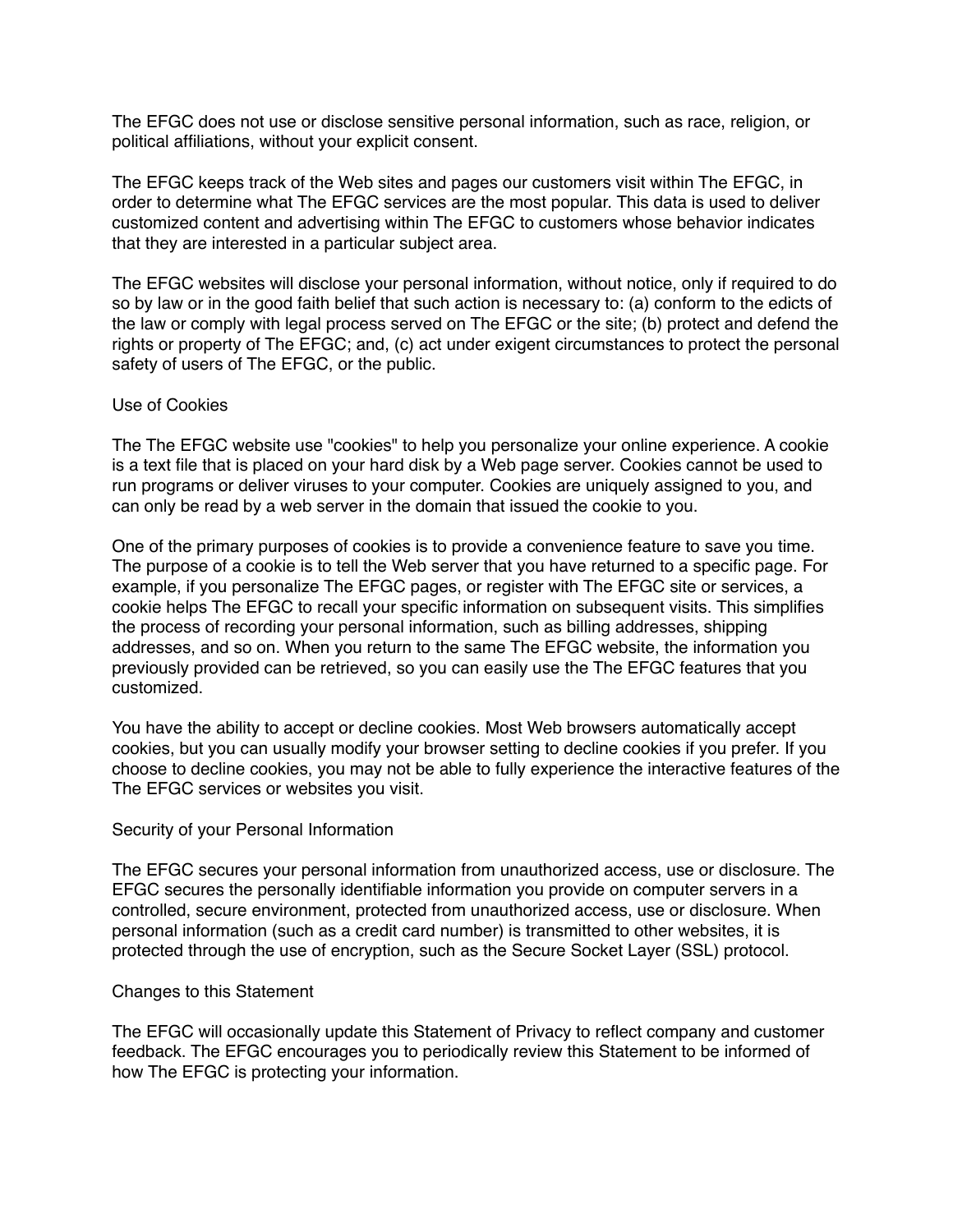The EFGC does not use or disclose sensitive personal information, such as race, religion, or political affiliations, without your explicit consent.

The EFGC keeps track of the Web sites and pages our customers visit within The EFGC, in order to determine what The EFGC services are the most popular. This data is used to deliver customized content and advertising within The EFGC to customers whose behavior indicates that they are interested in a particular subject area.

The EFGC websites will disclose your personal information, without notice, only if required to do so by law or in the good faith belief that such action is necessary to: (a) conform to the edicts of the law or comply with legal process served on The EFGC or the site; (b) protect and defend the rights or property of The EFGC; and, (c) act under exigent circumstances to protect the personal safety of users of The EFGC, or the public.

#### Use of Cookies

The The EFGC website use "cookies" to help you personalize your online experience. A cookie is a text file that is placed on your hard disk by a Web page server. Cookies cannot be used to run programs or deliver viruses to your computer. Cookies are uniquely assigned to you, and can only be read by a web server in the domain that issued the cookie to you.

One of the primary purposes of cookies is to provide a convenience feature to save you time. The purpose of a cookie is to tell the Web server that you have returned to a specific page. For example, if you personalize The EFGC pages, or register with The EFGC site or services, a cookie helps The EFGC to recall your specific information on subsequent visits. This simplifies the process of recording your personal information, such as billing addresses, shipping addresses, and so on. When you return to the same The EFGC website, the information you previously provided can be retrieved, so you can easily use the The EFGC features that you customized.

You have the ability to accept or decline cookies. Most Web browsers automatically accept cookies, but you can usually modify your browser setting to decline cookies if you prefer. If you choose to decline cookies, you may not be able to fully experience the interactive features of the The EFGC services or websites you visit.

#### Security of your Personal Information

The EFGC secures your personal information from unauthorized access, use or disclosure. The EFGC secures the personally identifiable information you provide on computer servers in a controlled, secure environment, protected from unauthorized access, use or disclosure. When personal information (such as a credit card number) is transmitted to other websites, it is protected through the use of encryption, such as the Secure Socket Layer (SSL) protocol.

#### Changes to this Statement

The EFGC will occasionally update this Statement of Privacy to reflect company and customer feedback. The EFGC encourages you to periodically review this Statement to be informed of how The EFGC is protecting your information.